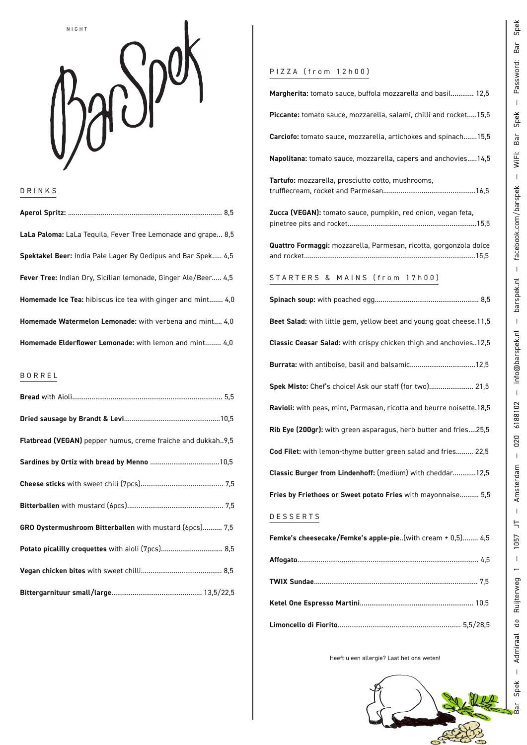

### DRINKS

| LaLa Paloma: LaLa Teguila, Fever Tree Lemonade and grape 8,5   |
|----------------------------------------------------------------|
| Spektakel Beer: India Pale Lager By Oedipus and Bar Spek 4,5   |
| Fever Tree: Indian Dry, Sicilian lemonade, Ginger Ale/Beer 4,5 |
| Homemade Ice Tea: hibiscus ice tea with ginger and mint 4,0    |
| Homemade Watermelon Lemonade: with verbena and mint 4.0        |
| Homemade Elderflower Lemonade: with lemon and mint 4,0         |

### BORREL

| Flatbread (VEGAN) pepper humus, creme fraiche and dukkah9,5 |
|-------------------------------------------------------------|
|                                                             |
|                                                             |
|                                                             |
| GRO Oystermushroom Bitterballen with mustard (6pcs) 7,5     |
| Potato picalilly croquettes with aioli (7pcs) 8,5           |
|                                                             |
|                                                             |

## PIZZA (from 12h00)

| Margherita: tomato sauce, buffola mozzarella and basil 12,5          |
|----------------------------------------------------------------------|
| Piccante: tomato sauce, mozzarella, salami, chilli and rocket 15,5   |
| Carciofo: tomato sauce, mozzarella, artichokes and spinach 15,5      |
| Napolitana: tomato sauce, mozzarella, capers and anchovies 14,5      |
| Tartufo: mozzarella, prosciutto cotto, mushrooms,                    |
| Zucca (VEGAN): tomato sauce, pumpkin, red onion, vegan feta,         |
| Quattro Formaggi: mozzarella, Parmesan, ricotta, gorgonzola dolce    |
| STARTERS & MAINS (from 17h00)                                        |
|                                                                      |
| Beet Salad: with little gem, yellow beet and young goat cheese.11,5  |
| Classic Ceasar Salad: with crispy chicken thigh and anchovies12,5    |
| Burrata: with antiboise, basil and balsamic12,5                      |
| Spek Misto: Chef's choice! Ask our staff (for two) 21,5              |
| Ravioli: with peas, mint, Parmasan, ricotta and beurre noisette.18,5 |
| Rib Eye (200gr): with green asparagus, herb butter and fries25,5     |
| Cod Filet: with lemon-thyme butter green salad and fries 22,5        |
| Classic Burger from Lindenhoff: (medium) with cheddar12,5            |
| Fries by Friethoes or Sweet potato Fries with mayonnaise 5,5         |
| DESSERTS                                                             |
| Femke's cheesecake/Femke's apple-pie(with cream + 0,5) 4,5           |
|                                                                      |
|                                                                      |
|                                                                      |

Heeft u een allergie? Laat het ons weten!

**Limoncello di Fiorito**................................................................ 5,5/28,5